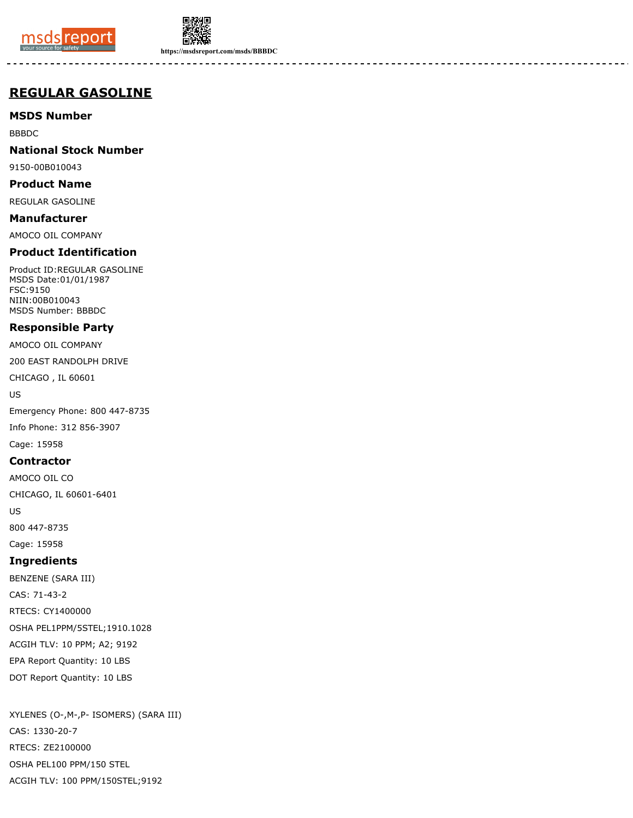



**https://msdsreport.com/msds/BBBDC**

# **REGULAR GASOLINE**

**MSDS Number**

BBBDC

## **National Stock Number**

9150-00B010043

**Product Name**

REGULAR GASOLINE

**Manufacturer**

AMOCO OIL COMPANY

# **Product Identification**

Product ID:REGULAR GASOLINE MSDS Date:01/01/1987 FSC:9150 NIIN:00B010043 MSDS Number: BBBDC

# **Responsible Party**

AMOCO OIL COMPANY

200 EAST RANDOLPH DRIVE

CHICAGO , IL 60601

US

Emergency Phone: 800 447-8735 Info Phone: 312 856-3907

Cage: 15958

## **Contractor**

AMOCO OIL CO

CHICAGO, IL 60601-6401

US

800 447-8735

Cage: 15958

# **Ingredients**

BENZENE (SARA III) CAS: 71-43-2 RTECS: CY1400000 OSHA PEL1PPM/5STEL;1910.1028 ACGIH TLV: 10 PPM; A2; 9192 EPA Report Quantity: 10 LBS DOT Report Quantity: 10 LBS

XYLENES (O-,M-,P- ISOMERS) (SARA III) CAS: 1330-20-7 RTECS: ZE2100000 OSHA PEL100 PPM/150 STEL ACGIH TLV: 100 PPM/150STEL;9192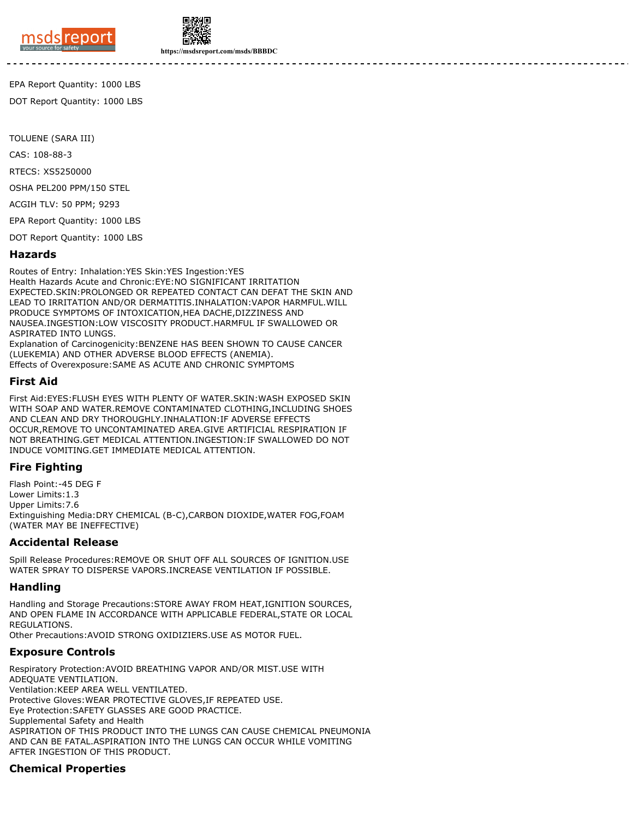



**https://msdsreport.com/msds/BBBDC**

EPA Report Quantity: 1000 LBS

DOT Report Quantity: 1000 LBS

TOLUENE (SARA III)

CAS: 108-88-3

RTECS: XS5250000

OSHA PEL200 PPM/150 STEL

ACGIH TLV: 50 PPM; 9293

EPA Report Quantity: 1000 LBS

DOT Report Quantity: 1000 LBS

#### **Hazards**

Routes of Entry: Inhalation:YES Skin:YES Ingestion:YES Health Hazards Acute and Chronic:EYE:NO SIGNIFICANT IRRITATION EXPECTED.SKIN:PROLONGED OR REPEATED CONTACT CAN DEFAT THE SKIN AND LEAD TO IRRITATION AND/OR DERMATITIS.INHALATION:VAPOR HARMFUL.WILL PRODUCE SYMPTOMS OF INTOXICATION,HEA DACHE,DIZZINESS AND NAUSEA.INGESTION:LOW VISCOSITY PRODUCT.HARMFUL IF SWALLOWED OR ASPIRATED INTO LUNGS.

Explanation of Carcinogenicity:BENZENE HAS BEEN SHOWN TO CAUSE CANCER (LUEKEMIA) AND OTHER ADVERSE BLOOD EFFECTS (ANEMIA). Effects of Overexposure:SAME AS ACUTE AND CHRONIC SYMPTOMS

#### **First Aid**

First Aid:EYES:FLUSH EYES WITH PLENTY OF WATER.SKIN:WASH EXPOSED SKIN WITH SOAP AND WATER.REMOVE CONTAMINATED CLOTHING,INCLUDING SHOES AND CLEAN AND DRY THOROUGHLY.INHALATION:IF ADVERSE EFFECTS OCCUR,REMOVE TO UNCONTAMINATED AREA.GIVE ARTIFICIAL RESPIRATION IF NOT BREATHING.GET MEDICAL ATTENTION.INGESTION:IF SWALLOWED DO NOT INDUCE VOMITING.GET IMMEDIATE MEDICAL ATTENTION.

## **Fire Fighting**

Flash Point:-45 DEG F Lower Limits:1.3 Upper Limits:7.6 Extinguishing Media:DRY CHEMICAL (B-C),CARBON DIOXIDE,WATER FOG,FOAM (WATER MAY BE INEFFECTIVE)

#### **Accidental Release**

Spill Release Procedures:REMOVE OR SHUT OFF ALL SOURCES OF IGNITION.USE WATER SPRAY TO DISPERSE VAPORS.INCREASE VENTILATION IF POSSIBLE.

## **Handling**

Handling and Storage Precautions:STORE AWAY FROM HEAT,IGNITION SOURCES, AND OPEN FLAME IN ACCORDANCE WITH APPLICABLE FEDERAL,STATE OR LOCAL REGULATIONS. Other Precautions:AVOID STRONG OXIDIZIERS.USE AS MOTOR FUEL.

#### **Exposure Controls**

Respiratory Protection:AVOID BREATHING VAPOR AND/OR MIST.USE WITH ADEQUATE VENTILATION. Ventilation:KEEP AREA WELL VENTILATED. Protective Gloves:WEAR PROTECTIVE GLOVES,IF REPEATED USE. Eye Protection:SAFETY GLASSES ARE GOOD PRACTICE. Supplemental Safety and Health ASPIRATION OF THIS PRODUCT INTO THE LUNGS CAN CAUSE CHEMICAL PNEUMONIA AND CAN BE FATAL.ASPIRATION INTO THE LUNGS CAN OCCUR WHILE VOMITING AFTER INGESTION OF THIS PRODUCT.

## **Chemical Properties**